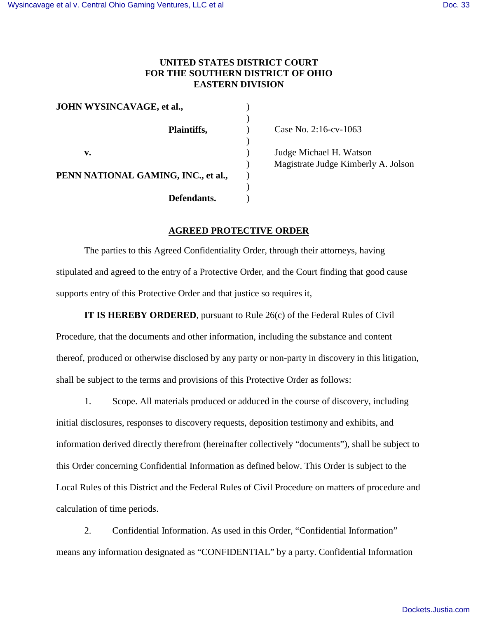## **UNITED STATES DISTRICT COURT FOR THE SOUTHERN DISTRICT OF OHIO EASTERN DIVISION**

| <b>JOHN WYSINCAVAGE, et al.,</b>    |             |  |
|-------------------------------------|-------------|--|
|                                     | Plaintiffs, |  |
| v.                                  |             |  |
| PENN NATIONAL GAMING, INC., et al., |             |  |
|                                     | Defendants. |  |

Case No. 2:16-cv-1063

 **v.** ) Judge Michael H. Watson ) Magistrate Judge Kimberly A. Jolson

### **AGREED PROTECTIVE ORDER**

The parties to this Agreed Confidentiality Order, through their attorneys, having stipulated and agreed to the entry of a Protective Order, and the Court finding that good cause supports entry of this Protective Order and that justice so requires it,

**IT IS HEREBY ORDERED**, pursuant to Rule 26(c) of the Federal Rules of Civil Procedure, that the documents and other information, including the substance and content thereof, produced or otherwise disclosed by any party or non-party in discovery in this litigation, shall be subject to the terms and provisions of this Protective Order as follows:

1. Scope. All materials produced or adduced in the course of discovery, including initial disclosures, responses to discovery requests, deposition testimony and exhibits, and information derived directly therefrom (hereinafter collectively "documents"), shall be subject to this Order concerning Confidential Information as defined below. This Order is subject to the Local Rules of this District and the Federal Rules of Civil Procedure on matters of procedure and calculation of time periods.

2. Confidential Information. As used in this Order, "Confidential Information" means any information designated as "CONFIDENTIAL" by a party. Confidential Information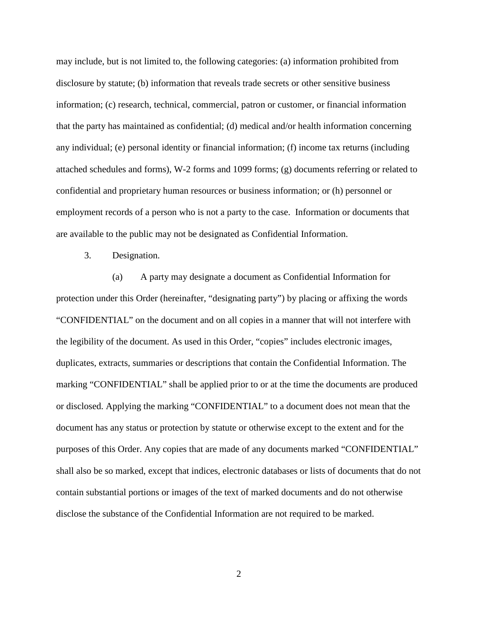may include, but is not limited to, the following categories: (a) information prohibited from disclosure by statute; (b) information that reveals trade secrets or other sensitive business information; (c) research, technical, commercial, patron or customer, or financial information that the party has maintained as confidential; (d) medical and/or health information concerning any individual; (e) personal identity or financial information; (f) income tax returns (including attached schedules and forms), W-2 forms and 1099 forms; (g) documents referring or related to confidential and proprietary human resources or business information; or (h) personnel or employment records of a person who is not a party to the case. Information or documents that are available to the public may not be designated as Confidential Information.

3. Designation.

(a) A party may designate a document as Confidential Information for protection under this Order (hereinafter, "designating party") by placing or affixing the words "CONFIDENTIAL" on the document and on all copies in a manner that will not interfere with the legibility of the document. As used in this Order, "copies" includes electronic images, duplicates, extracts, summaries or descriptions that contain the Confidential Information. The marking "CONFIDENTIAL" shall be applied prior to or at the time the documents are produced or disclosed. Applying the marking "CONFIDENTIAL" to a document does not mean that the document has any status or protection by statute or otherwise except to the extent and for the purposes of this Order. Any copies that are made of any documents marked "CONFIDENTIAL" shall also be so marked, except that indices, electronic databases or lists of documents that do not contain substantial portions or images of the text of marked documents and do not otherwise disclose the substance of the Confidential Information are not required to be marked.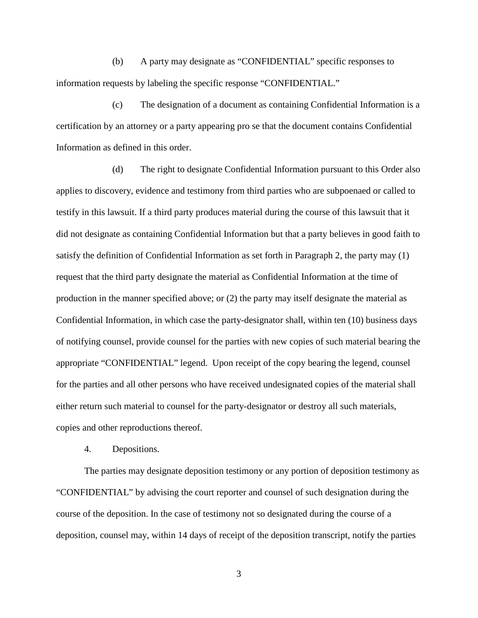(b) A party may designate as "CONFIDENTIAL" specific responses to information requests by labeling the specific response "CONFIDENTIAL."

(c) The designation of a document as containing Confidential Information is a certification by an attorney or a party appearing pro se that the document contains Confidential Information as defined in this order.

(d) The right to designate Confidential Information pursuant to this Order also applies to discovery, evidence and testimony from third parties who are subpoenaed or called to testify in this lawsuit. If a third party produces material during the course of this lawsuit that it did not designate as containing Confidential Information but that a party believes in good faith to satisfy the definition of Confidential Information as set forth in Paragraph 2, the party may (1) request that the third party designate the material as Confidential Information at the time of production in the manner specified above; or (2) the party may itself designate the material as Confidential Information, in which case the party-designator shall, within ten (10) business days of notifying counsel, provide counsel for the parties with new copies of such material bearing the appropriate "CONFIDENTIAL" legend. Upon receipt of the copy bearing the legend, counsel for the parties and all other persons who have received undesignated copies of the material shall either return such material to counsel for the party-designator or destroy all such materials, copies and other reproductions thereof.

4. Depositions.

The parties may designate deposition testimony or any portion of deposition testimony as "CONFIDENTIAL" by advising the court reporter and counsel of such designation during the course of the deposition. In the case of testimony not so designated during the course of a deposition, counsel may, within 14 days of receipt of the deposition transcript, notify the parties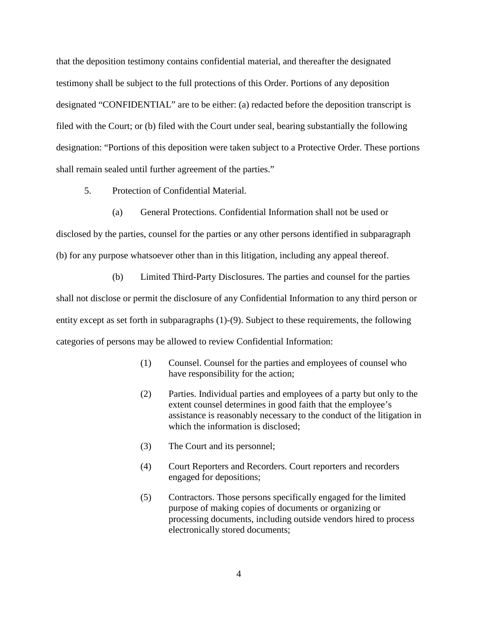that the deposition testimony contains confidential material, and thereafter the designated testimony shall be subject to the full protections of this Order. Portions of any deposition designated "CONFIDENTIAL" are to be either: (a) redacted before the deposition transcript is filed with the Court; or (b) filed with the Court under seal, bearing substantially the following designation: "Portions of this deposition were taken subject to a Protective Order. These portions shall remain sealed until further agreement of the parties."

5. Protection of Confidential Material.

(a) General Protections. Confidential Information shall not be used or disclosed by the parties, counsel for the parties or any other persons identified in subparagraph (b) for any purpose whatsoever other than in this litigation, including any appeal thereof.

(b) Limited Third-Party Disclosures. The parties and counsel for the parties shall not disclose or permit the disclosure of any Confidential Information to any third person or entity except as set forth in subparagraphs (1)-(9). Subject to these requirements, the following categories of persons may be allowed to review Confidential Information:

- (1) Counsel. Counsel for the parties and employees of counsel who have responsibility for the action;
- (2) Parties. Individual parties and employees of a party but only to the extent counsel determines in good faith that the employee's assistance is reasonably necessary to the conduct of the litigation in which the information is disclosed:
- (3) The Court and its personnel;
- (4) Court Reporters and Recorders. Court reporters and recorders engaged for depositions;
- (5) Contractors. Those persons specifically engaged for the limited purpose of making copies of documents or organizing or processing documents, including outside vendors hired to process electronically stored documents;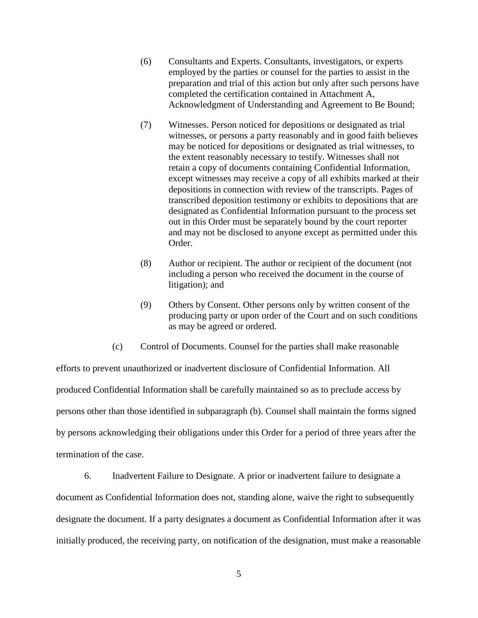- (6) Consultants and Experts. Consultants, investigators, or experts employed by the parties or counsel for the parties to assist in the preparation and trial of this action but only after such persons have completed the certification contained in Attachment A, Acknowledgment of Understanding and Agreement to Be Bound;
- (7) Witnesses. Person noticed for depositions or designated as trial witnesses, or persons a party reasonably and in good faith believes may be noticed for depositions or designated as trial witnesses, to the extent reasonably necessary to testify. Witnesses shall not retain a copy of documents containing Confidential Information, except witnesses may receive a copy of all exhibits marked at their depositions in connection with review of the transcripts. Pages of transcribed deposition testimony or exhibits to depositions that are designated as Confidential Information pursuant to the process set out in this Order must be separately bound by the court reporter and may not be disclosed to anyone except as permitted under this Order.
- (8) Author or recipient. The author or recipient of the document (not including a person who received the document in the course of litigation); and
- (9) Others by Consent. Other persons only by written consent of the producing party or upon order of the Court and on such conditions as may be agreed or ordered.
- (c) Control of Documents. Counsel for the parties shall make reasonable

efforts to prevent unauthorized or inadvertent disclosure of Confidential Information. All produced Confidential Information shall be carefully maintained so as to preclude access by persons other than those identified in subparagraph (b). Counsel shall maintain the forms signed by persons acknowledging their obligations under this Order for a period of three years after the termination of the case.

6. Inadvertent Failure to Designate. A prior or inadvertent failure to designate a

document as Confidential Information does not, standing alone, waive the right to subsequently designate the document. If a party designates a document as Confidential Information after it was initially produced, the receiving party, on notification of the designation, must make a reasonable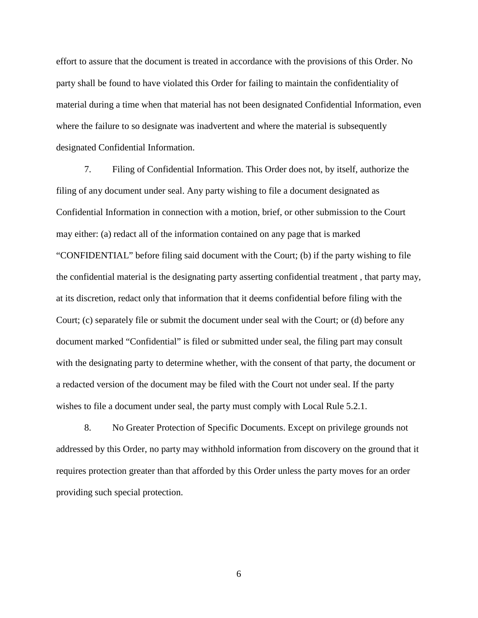effort to assure that the document is treated in accordance with the provisions of this Order. No party shall be found to have violated this Order for failing to maintain the confidentiality of material during a time when that material has not been designated Confidential Information, even where the failure to so designate was inadvertent and where the material is subsequently designated Confidential Information.

7. Filing of Confidential Information. This Order does not, by itself, authorize the filing of any document under seal. Any party wishing to file a document designated as Confidential Information in connection with a motion, brief, or other submission to the Court may either: (a) redact all of the information contained on any page that is marked "CONFIDENTIAL" before filing said document with the Court; (b) if the party wishing to file the confidential material is the designating party asserting confidential treatment , that party may, at its discretion, redact only that information that it deems confidential before filing with the Court; (c) separately file or submit the document under seal with the Court; or (d) before any document marked "Confidential" is filed or submitted under seal, the filing part may consult with the designating party to determine whether, with the consent of that party, the document or a redacted version of the document may be filed with the Court not under seal. If the party wishes to file a document under seal, the party must comply with Local Rule 5.2.1.

8. No Greater Protection of Specific Documents. Except on privilege grounds not addressed by this Order, no party may withhold information from discovery on the ground that it requires protection greater than that afforded by this Order unless the party moves for an order providing such special protection.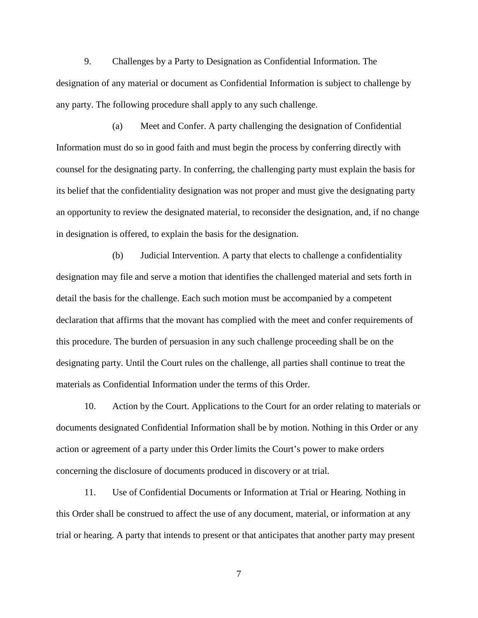9. Challenges by a Party to Designation as Confidential Information. The designation of any material or document as Confidential Information is subject to challenge by any party. The following procedure shall apply to any such challenge.

(a) Meet and Confer. A party challenging the designation of Confidential Information must do so in good faith and must begin the process by conferring directly with counsel for the designating party. In conferring, the challenging party must explain the basis for its belief that the confidentiality designation was not proper and must give the designating party an opportunity to review the designated material, to reconsider the designation, and, if no change in designation is offered, to explain the basis for the designation.

(b) Judicial Intervention. A party that elects to challenge a confidentiality designation may file and serve a motion that identifies the challenged material and sets forth in detail the basis for the challenge. Each such motion must be accompanied by a competent declaration that affirms that the movant has complied with the meet and confer requirements of this procedure. The burden of persuasion in any such challenge proceeding shall be on the designating party. Until the Court rules on the challenge, all parties shall continue to treat the materials as Confidential Information under the terms of this Order.

10. Action by the Court. Applications to the Court for an order relating to materials or documents designated Confidential Information shall be by motion. Nothing in this Order or any action or agreement of a party under this Order limits the Court's power to make orders concerning the disclosure of documents produced in discovery or at trial.

11. Use of Confidential Documents or Information at Trial or Hearing. Nothing in this Order shall be construed to affect the use of any document, material, or information at any trial or hearing. A party that intends to present or that anticipates that another party may present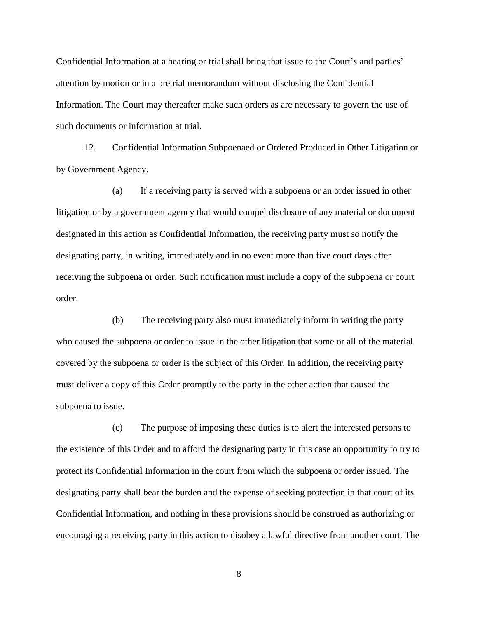Confidential Information at a hearing or trial shall bring that issue to the Court's and parties' attention by motion or in a pretrial memorandum without disclosing the Confidential Information. The Court may thereafter make such orders as are necessary to govern the use of such documents or information at trial.

12. Confidential Information Subpoenaed or Ordered Produced in Other Litigation or by Government Agency.

(a) If a receiving party is served with a subpoena or an order issued in other litigation or by a government agency that would compel disclosure of any material or document designated in this action as Confidential Information, the receiving party must so notify the designating party, in writing, immediately and in no event more than five court days after receiving the subpoena or order. Such notification must include a copy of the subpoena or court order.

(b) The receiving party also must immediately inform in writing the party who caused the subpoena or order to issue in the other litigation that some or all of the material covered by the subpoena or order is the subject of this Order. In addition, the receiving party must deliver a copy of this Order promptly to the party in the other action that caused the subpoena to issue.

(c) The purpose of imposing these duties is to alert the interested persons to the existence of this Order and to afford the designating party in this case an opportunity to try to protect its Confidential Information in the court from which the subpoena or order issued. The designating party shall bear the burden and the expense of seeking protection in that court of its Confidential Information, and nothing in these provisions should be construed as authorizing or encouraging a receiving party in this action to disobey a lawful directive from another court. The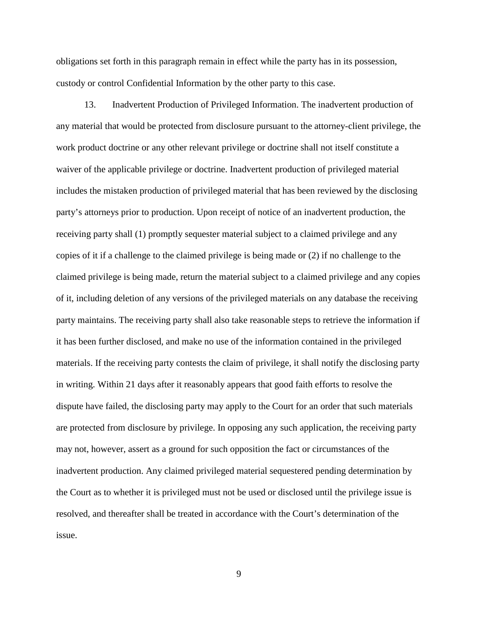obligations set forth in this paragraph remain in effect while the party has in its possession, custody or control Confidential Information by the other party to this case.

13. Inadvertent Production of Privileged Information. The inadvertent production of any material that would be protected from disclosure pursuant to the attorney-client privilege, the work product doctrine or any other relevant privilege or doctrine shall not itself constitute a waiver of the applicable privilege or doctrine. Inadvertent production of privileged material includes the mistaken production of privileged material that has been reviewed by the disclosing party's attorneys prior to production. Upon receipt of notice of an inadvertent production, the receiving party shall (1) promptly sequester material subject to a claimed privilege and any copies of it if a challenge to the claimed privilege is being made or (2) if no challenge to the claimed privilege is being made, return the material subject to a claimed privilege and any copies of it, including deletion of any versions of the privileged materials on any database the receiving party maintains. The receiving party shall also take reasonable steps to retrieve the information if it has been further disclosed, and make no use of the information contained in the privileged materials. If the receiving party contests the claim of privilege, it shall notify the disclosing party in writing. Within 21 days after it reasonably appears that good faith efforts to resolve the dispute have failed, the disclosing party may apply to the Court for an order that such materials are protected from disclosure by privilege. In opposing any such application, the receiving party may not, however, assert as a ground for such opposition the fact or circumstances of the inadvertent production. Any claimed privileged material sequestered pending determination by the Court as to whether it is privileged must not be used or disclosed until the privilege issue is resolved, and thereafter shall be treated in accordance with the Court's determination of the issue.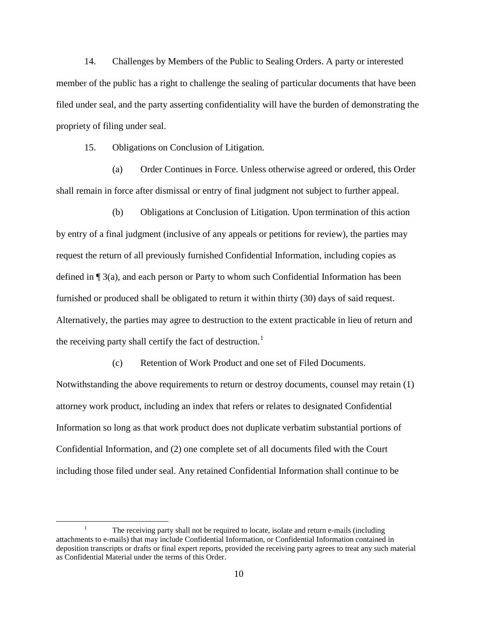14. Challenges by Members of the Public to Sealing Orders. A party or interested member of the public has a right to challenge the sealing of particular documents that have been filed under seal, and the party asserting confidentiality will have the burden of demonstrating the propriety of filing under seal.

15. Obligations on Conclusion of Litigation.

(a) Order Continues in Force. Unless otherwise agreed or ordered, this Order shall remain in force after dismissal or entry of final judgment not subject to further appeal.

(b) Obligations at Conclusion of Litigation. Upon termination of this action by entry of a final judgment (inclusive of any appeals or petitions for review), the parties may request the return of all previously furnished Confidential Information, including copies as defined in ¶ 3(a), and each person or Party to whom such Confidential Information has been furnished or produced shall be obligated to return it within thirty (30) days of said request. Alternatively, the parties may agree to destruction to the extent practicable in lieu of return and the receiving party shall certify the fact of destruction.<sup>[1](#page-9-0)</sup>

(c) Retention of Work Product and one set of Filed Documents. Notwithstanding the above requirements to return or destroy documents, counsel may retain (1) attorney work product, including an index that refers or relates to designated Confidential Information so long as that work product does not duplicate verbatim substantial portions of Confidential Information, and (2) one complete set of all documents filed with the Court including those filed under seal. Any retained Confidential Information shall continue to be

 $\overline{a}$ 

<span id="page-9-0"></span><sup>1</sup> The receiving party shall not be required to locate, isolate and return e-mails (including attachments to e-mails) that may include Confidential Information, or Confidential Information contained in deposition transcripts or drafts or final expert reports, provided the receiving party agrees to treat any such material as Confidential Material under the terms of this Order.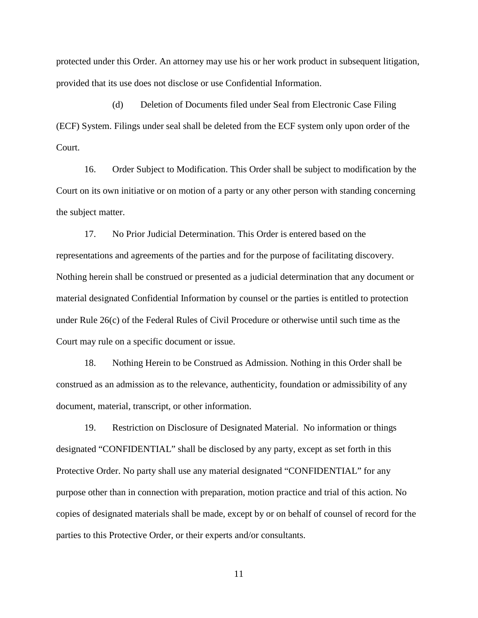protected under this Order. An attorney may use his or her work product in subsequent litigation, provided that its use does not disclose or use Confidential Information.

(d) Deletion of Documents filed under Seal from Electronic Case Filing (ECF) System. Filings under seal shall be deleted from the ECF system only upon order of the Court.

16. Order Subject to Modification. This Order shall be subject to modification by the Court on its own initiative or on motion of a party or any other person with standing concerning the subject matter.

17. No Prior Judicial Determination. This Order is entered based on the representations and agreements of the parties and for the purpose of facilitating discovery. Nothing herein shall be construed or presented as a judicial determination that any document or material designated Confidential Information by counsel or the parties is entitled to protection under Rule 26(c) of the Federal Rules of Civil Procedure or otherwise until such time as the Court may rule on a specific document or issue.

18. Nothing Herein to be Construed as Admission. Nothing in this Order shall be construed as an admission as to the relevance, authenticity, foundation or admissibility of any document, material, transcript, or other information.

19. Restriction on Disclosure of Designated Material. No information or things designated "CONFIDENTIAL" shall be disclosed by any party, except as set forth in this Protective Order. No party shall use any material designated "CONFIDENTIAL" for any purpose other than in connection with preparation, motion practice and trial of this action. No copies of designated materials shall be made, except by or on behalf of counsel of record for the parties to this Protective Order, or their experts and/or consultants.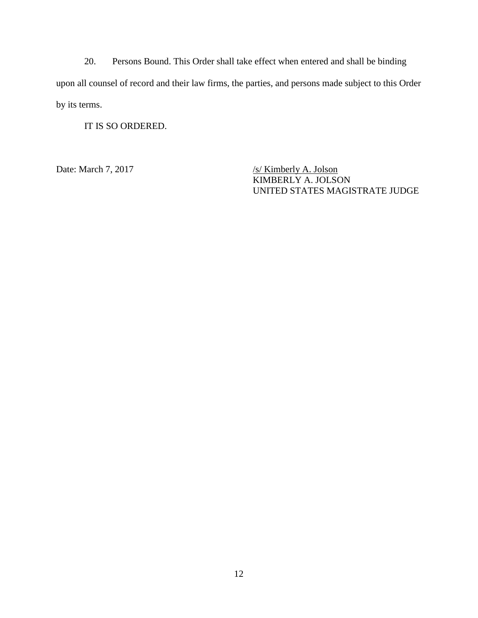20. Persons Bound. This Order shall take effect when entered and shall be binding upon all counsel of record and their law firms, the parties, and persons made subject to this Order by its terms.

IT IS SO ORDERED.

Date: March 7, 2017 /s/ Kimberly A. Jolson KIMBERLY A. JOLSON UNITED STATES MAGISTRATE JUDGE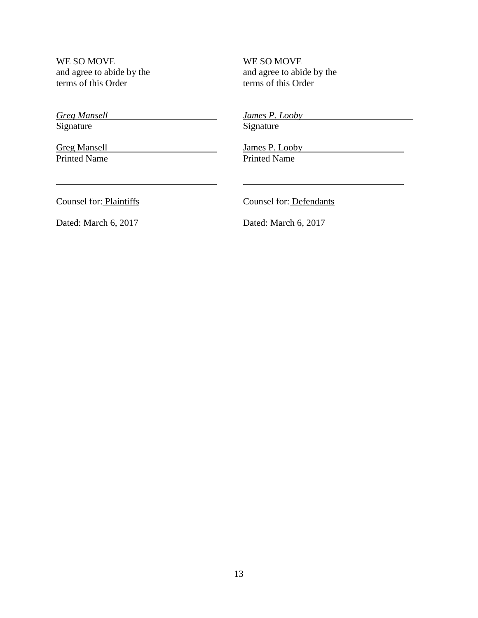WE SO MOVE and agree to abide by the terms of this Order

*Greg Mansell* **Signature** 

Greg Mansell Printed Name

WE SO MOVE and agree to abide by the terms of this Order

*James P. Looby*

**Signature** 

James P. Looby Printed Name

Counsel for: Plaintiffs

Dated: March 6, 2017

Counsel for: Defendants

Dated: March 6, 2017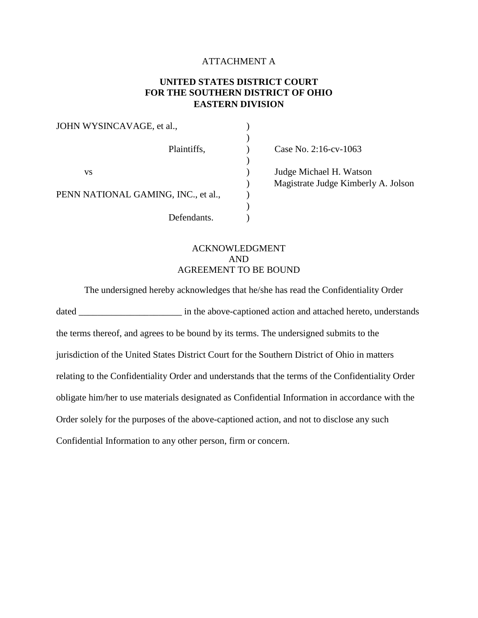#### ATTACHMENT A

# **UNITED STATES DISTRICT COURT FOR THE SOUTHERN DISTRICT OF OHIO EASTERN DIVISION**

| JOHN WYSINCAVAGE, et al.,           |  |                                     |
|-------------------------------------|--|-------------------------------------|
| Plaintiffs,                         |  | Case No. 2:16-cv-1063               |
|                                     |  |                                     |
| <b>VS</b>                           |  | Judge Michael H. Watson             |
|                                     |  | Magistrate Judge Kimberly A. Jolson |
| PENN NATIONAL GAMING, INC., et al., |  |                                     |
|                                     |  |                                     |
| Defendants.                         |  |                                     |

# ACKNOWLEDGMENT AND AGREEMENT TO BE BOUND

The undersigned hereby acknowledges that he/she has read the Confidentiality Order dated \_\_\_\_\_\_\_\_\_\_\_\_\_\_\_\_\_\_\_\_\_\_ in the above-captioned action and attached hereto, understands the terms thereof, and agrees to be bound by its terms. The undersigned submits to the jurisdiction of the United States District Court for the Southern District of Ohio in matters relating to the Confidentiality Order and understands that the terms of the Confidentiality Order obligate him/her to use materials designated as Confidential Information in accordance with the Order solely for the purposes of the above-captioned action, and not to disclose any such Confidential Information to any other person, firm or concern.